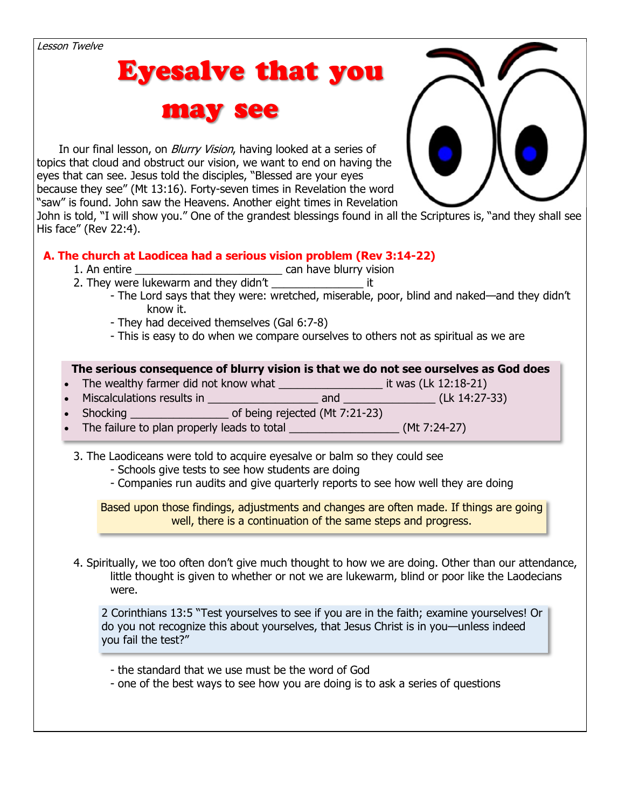Lesson Twelve

## **Eyesalve that you**



In our final lesson, on *Blurry Vision*, having looked at a series of topics that cloud and obstruct our vision, we want to end on having the eyes that can see. Jesus told the disciples, "Blessed are your eyes because they see" (Mt 13:16). Forty-seven times in Revelation the word "saw" is found. John saw the Heavens. Another eight times in Revelation

John is told, "I will show you." One of the grandest blessings found in all the Scriptures is, "and they shall see His face" (Rev 22:4).

## **A. The church at Laodicea had a serious vision problem (Rev 3:14-22)**

- 1. An entire \_\_\_\_\_\_\_\_\_\_\_\_\_\_\_\_\_\_\_\_\_\_\_\_ can have blurry vision
- 2. They were lukewarm and they didn't \_\_\_\_\_\_\_\_\_\_\_\_\_\_\_\_\_\_\_\_\_\_\_ it
	- The Lord says that they were: wretched, miserable, poor, blind and naked—and they didn't know it.
	- They had deceived themselves (Gal 6:7-8)
	- This is easy to do when we compare ourselves to others not as spiritual as we are

## **The serious consequence of blurry vision is that we do not see ourselves as God does**

- The wealthy farmer did not know what \_\_\_\_\_\_\_\_\_\_\_\_\_\_\_\_\_\_\_\_\_\_\_ it was (Lk 12:18-21)
- Miscalculations results in  $\qquad \qquad$  and  $\qquad \qquad$   $\qquad$  (Lk 14:27-33)
- Shocking \_\_\_\_\_\_\_\_\_\_\_\_\_\_\_\_ of being rejected (Mt 7:21-23)
- The failure to plan properly leads to total  $\text{________}$  (Mt 7:24-27)

3. The Laodiceans were told to acquire eyesalve or balm so they could see

- Schools give tests to see how students are doing
- Companies run audits and give quarterly reports to see how well they are doing

Based upon those findings, adjustments and changes are often made. If things are going well, there is a continuation of the same steps and progress.

4. Spiritually, we too often don't give much thought to how we are doing. Other than our attendance, little thought is given to whether or not we are lukewarm, blind or poor like the Laodecians were.

2 Corinthians 13:5 "Test yourselves to see if you are in the faith; examine yourselves! Or do you not recognize this about yourselves, that Jesus Christ is in you—unless indeed you fail the test?"

- the standard that we use must be the word of God
- one of the best ways to see how you are doing is to ask a series of questions